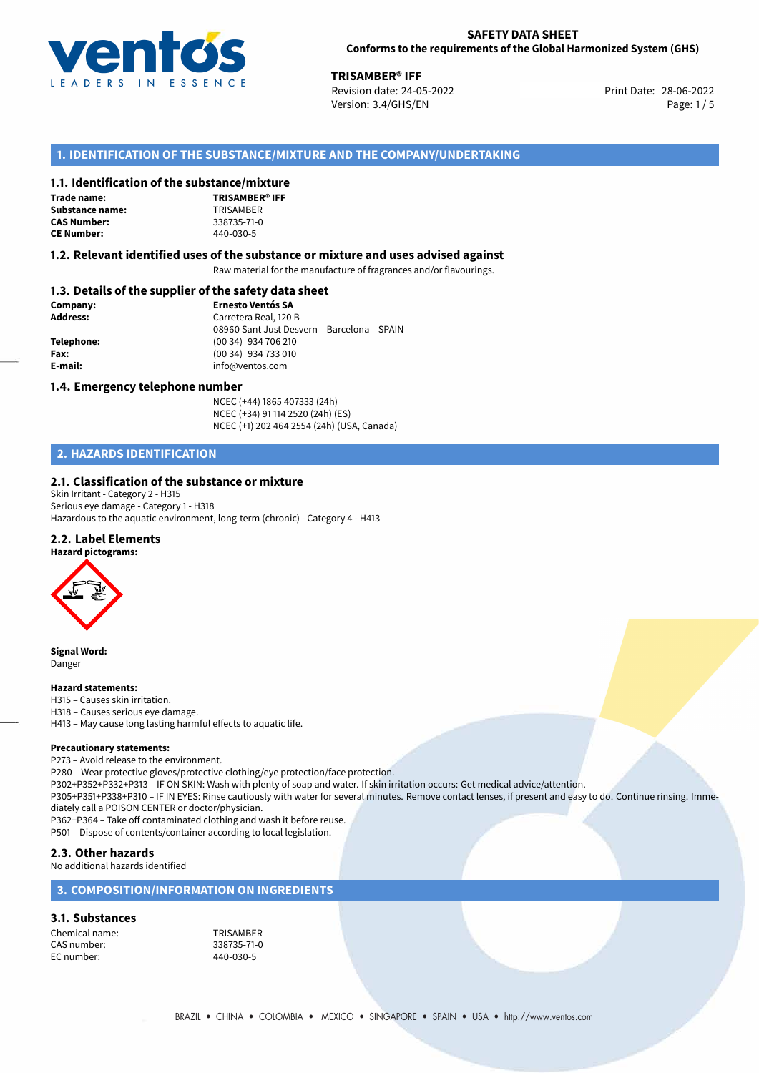

28-06-2022 **TRISAMBER® IFF** Revision date: 24-05-2022 Version: 3.4/GHS/EN Page: 1/5

# **1. IDENTIFICATION OF THE SUBSTANCE/MIXTURE AND THE COMPANY/UNDERTAKING**

## **1.1. Identification of the substance/mixture**

**Trade name: Substance name:** TRISAMBER **CAS Number: CE Number:** 440-030-5



## **1.2. Relevant identified uses of the substance or mixture and uses advised against**

Raw material for the manufacture of fragrances and/or flavourings.

# **1.3. Details of the supplier of the safety data sheet**

| Company:   | <b>Ernesto Ventós SA</b>                    |  |
|------------|---------------------------------------------|--|
| Address:   | Carretera Real, 120 B                       |  |
|            | 08960 Sant Just Desvern - Barcelona - SPAIN |  |
| Telephone: | (00 34) 934 706 210                         |  |
| Fax:       | (00 34) 934 733 010                         |  |
| E-mail:    | info@ventos.com                             |  |
|            |                                             |  |

#### **1.4. Emergency telephone number**

NCEC (+44) 1865 407333 (24h) NCEC (+34) 91 114 2520 (24h) (ES) NCEC (+1) 202 464 2554 (24h) (USA, Canada)

# **2. HAZARDS IDENTIFICATION**

### **2.1. Classification of the substance or mixture**

Skin Irritant - Category 2 - H315 Serious eye damage - Category 1 - H318 Hazardous to the aquatic environment, long-term (chronic) - Category 4 - H413

# **2.2. Label Elements**



**Signal Word:** Danger

#### **Hazard statements:**

H315 – Causes skin irritation. H318 – Causes serious eye damage. H413 – May cause long lasting harmful effects to aquatic life.

#### **Precautionary statements:**

P273 – Avoid release to the environment. P280 – Wear protective gloves/protective clothing/eye protection/face protection. P302+P352+P332+P313 – IF ON SKIN: Wash with plenty of soap and water. If skin irritation occurs: Get medical advice/attention. P305+P351+P338+P310 – IF IN EYES: Rinse cautiously with water for several minutes. Remove contact lenses, if present and easy to do. Continue rinsing. Immediately call a POISON CENTER or doctor/physician. P362+P364 – Take off contaminated clothing and wash it before reuse. P501 – Dispose of contents/container according to local legislation. **2.3. Other hazards**

No additional hazards identified

# **3. COMPOSITION/INFORMATION ON INGREDIENTS**

#### **3.1. Substances**

Chemical name: TRISAMBER CAS number: EC number: 440-030-5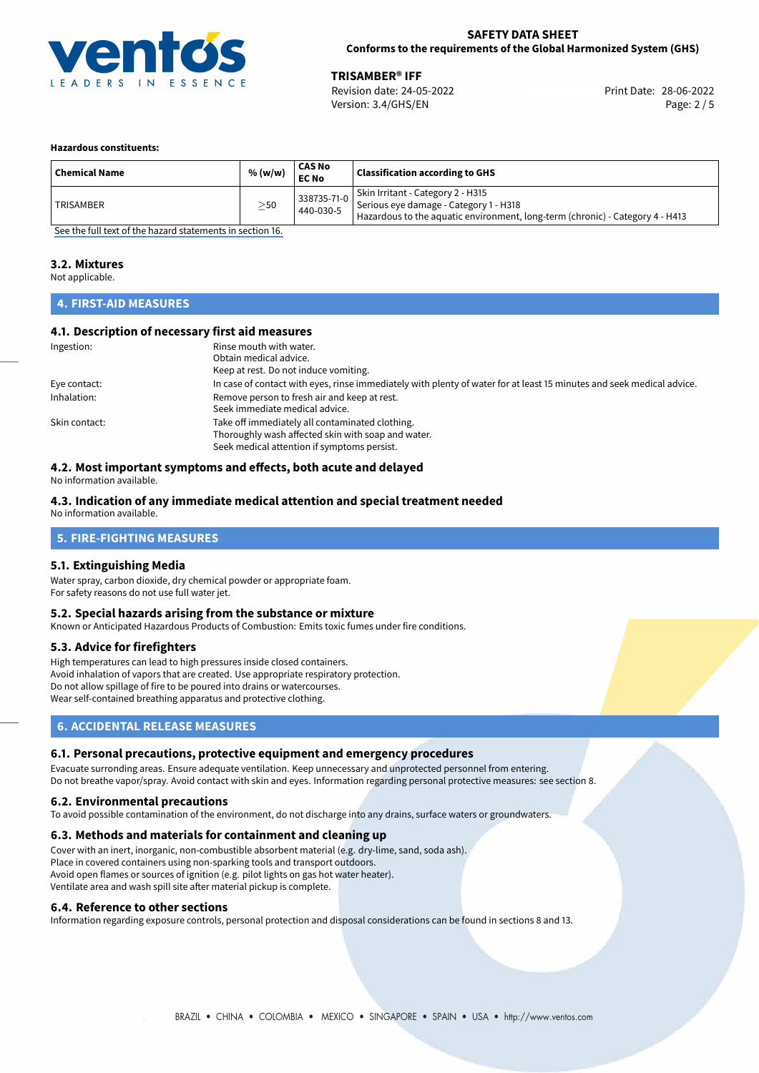

28-06-2022 **TRISAMBER® IFF** Revision date: 24-05-2022 Version: 3.4/GHS/EN Page: 2 / 5

#### **Hazardous constituents:**

| <b>Chemical Name</b> | % (w/w)   | <b>CAS No</b><br><b>EC No</b> | <b>Classification according to GHS</b>                                                                                                                       |
|----------------------|-----------|-------------------------------|--------------------------------------------------------------------------------------------------------------------------------------------------------------|
| <b>TRISAMBER</b>     | $\geq$ 50 | 338735-71-0<br>440-030-5      | Skin Irritant - Category 2 - H315<br>Serious eye damage - Category 1 - H318<br>Hazardous to the aquatic environment, long-term (chronic) - Category 4 - H413 |

[See the full text of the hazard statements in section 16.](#page-4-0)

### **3.2. Mixtures**

Not applicable.

# **4. FIRST-AID MEASURES**

# **4.1. Description of necessary first aid measures**

| Ingestion:    | Rinse mouth with water.                                                                                               |
|---------------|-----------------------------------------------------------------------------------------------------------------------|
|               | Obtain medical advice.                                                                                                |
|               | Keep at rest. Do not induce vomiting.                                                                                 |
| Eye contact:  | In case of contact with eyes, rinse immediately with plenty of water for at least 15 minutes and seek medical advice. |
| Inhalation:   | Remove person to fresh air and keep at rest.                                                                          |
|               | Seek immediate medical advice.                                                                                        |
| Skin contact: | Take off immediately all contaminated clothing.                                                                       |
|               | Thoroughly wash affected skin with soap and water.                                                                    |
|               | Seek medical attention if symptoms persist.                                                                           |

# **4.2. Most important symptoms and effects, both acute and delayed**

No information available.

# **4.3. Indication of any immediate medical attention and special treatment needed**

No information available.

# **5. FIRE-FIGHTING MEASURES**

# **5.1. Extinguishing Media**

Water spray, carbon dioxide, dry chemical powder or appropriate foam. For safety reasons do not use full water jet.

## **5.2. Special hazards arising from the substance or mixture**

Known or Anticipated Hazardous Products of Combustion: Emits toxic fumes under fire conditions.

#### **5.3. Advice for firefighters**

High temperatures can lead to high pressures inside closed containers. Avoid inhalation of vapors that are created. Use appropriate respiratory protection. Do not allow spillage of fire to be poured into drains or watercourses. Wear self-contained breathing apparatus and protective clothing.

# **6. ACCIDENTAL RELEASE MEASURES**

#### **6.1. Personal precautions, protective equipment and emergency procedures**

Evacuate surronding areas. Ensure adequate ventilation. Keep unnecessary and unprotected personnel from entering. Do not breathe vapor/spray. Avoid contact with skin and eyes. Information regarding personal protective measures: see section 8.

#### **6.2. Environmental precautions**

To avoid possible contamination of the environment, do not discharge into any drains, surface waters or groundwaters.

#### **6.3. Methods and materials for containment and cleaning up**

Cover with an inert, inorganic, non-combustible absorbent material (e.g. dry-lime, sand, soda ash). Place in covered containers using non-sparking tools and transport outdoors. Avoid open flames or sources of ignition (e.g. pilot lights on gas hot water heater). Ventilate area and wash spill site after material pickup is complete.

#### **6.4. Reference to other sections**

Information regarding exposure controls, personal protection and disposal considerations can be found in sections 8 and 13.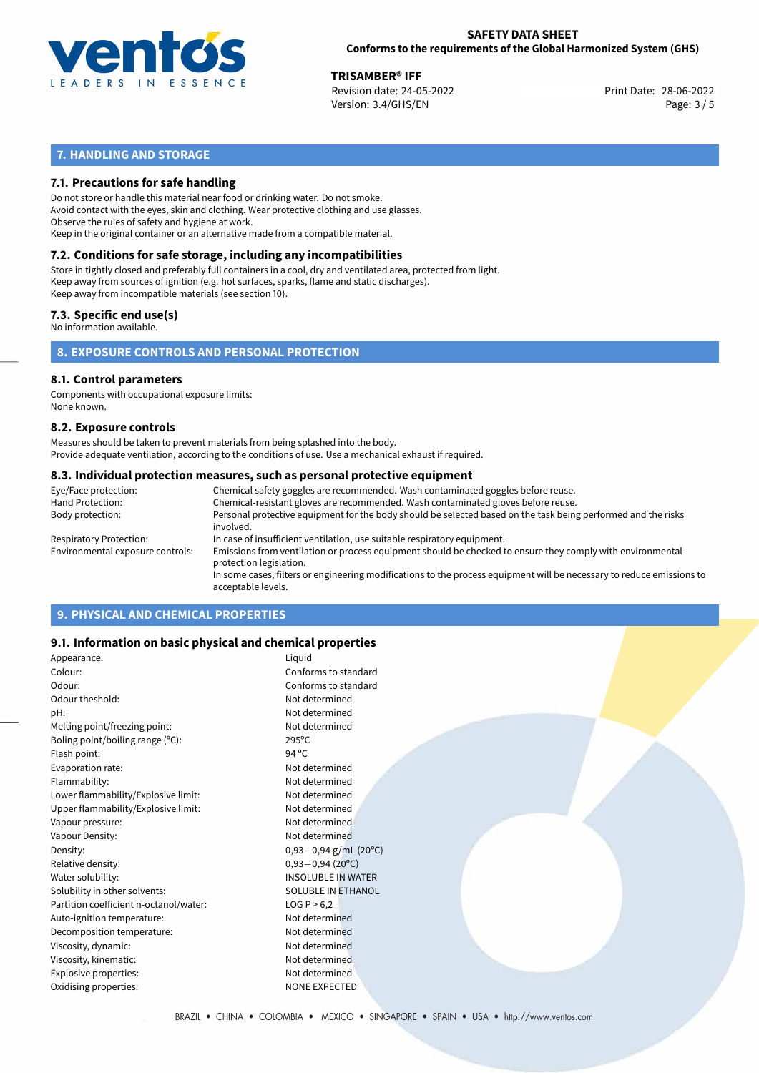

28-06-2022 **TRISAMBER® IFF** Revision date: 24-05-2022 Print Date: Version: 3.4/GHS/EN Page: 3 / 5

# **7. HANDLING AND STORAGE**

# **7.1. Precautions for safe handling**

Do not store or handle this material near food or drinking water. Do not smoke. Avoid contact with the eyes, skin and clothing. Wear protective clothing and use glasses. Observe the rules of safety and hygiene at work. Keep in the original container or an alternative made from a compatible material.

# **7.2. Conditions for safe storage, including any incompatibilities**

Store in tightly closed and preferably full containers in a cool, dry and ventilated area, protected from light. Keep away from sources of ignition (e.g. hot surfaces, sparks, flame and static discharges). Keep away from incompatible materials (see section 10).

# **7.3. Specific end use(s)**

No information available.

**8. EXPOSURE CONTROLS AND PERSONAL PROTECTION**

# **8.1. Control parameters**

Components with occupational exposure limits: None known.

#### **8.2. Exposure controls**

Measures should be taken to prevent materials from being splashed into the body. Provide adequate ventilation, according to the conditions of use. Use a mechanical exhaust if required.

### **8.3. Individual protection measures, such as personal protective equipment**

| Eye/Face protection:             | Chemical safety goggles are recommended. Wash contaminated goggles before reuse.                                                            |
|----------------------------------|---------------------------------------------------------------------------------------------------------------------------------------------|
| Hand Protection:                 | Chemical-resistant gloves are recommended. Wash contaminated gloves before reuse.                                                           |
| Body protection:                 | Personal protective equipment for the body should be selected based on the task being performed and the risks<br>involved.                  |
| Respiratory Protection:          | In case of insufficient ventilation, use suitable respiratory equipment.                                                                    |
| Environmental exposure controls: | Emissions from ventilation or process equipment should be checked to ensure they comply with environmental<br>protection legislation.       |
|                                  | In some cases, filters or engineering modifications to the process equipment will be necessary to reduce emissions to<br>acceptable levels. |
|                                  |                                                                                                                                             |

# **9. PHYSICAL AND CHEMICAL PROPERTIES**

# **9.1. Information on basic physical and chemical properties**

| Appearance:                            | Liquid                     |
|----------------------------------------|----------------------------|
| Colour:                                | Conforms to standard       |
| Odour:                                 | Conforms to standard       |
| Odour theshold:                        | Not determined             |
| pH:                                    | Not determined             |
| Melting point/freezing point:          | Not determined             |
| Boling point/boiling range (°C):       | $295^{\circ}$ C            |
| Flash point:                           | 94 $^{\circ}$ C            |
| Evaporation rate:                      | Not determined             |
| Flammability:                          | Not determined             |
| Lower flammability/Explosive limit:    | Not determined             |
| Upper flammability/Explosive limit:    | Not determined             |
| Vapour pressure:                       | Not determined             |
| Vapour Density:                        | Not determined             |
| Density:                               | $0,93-0,94$ g/mL (20°C)    |
| Relative density:                      | $0,93 - 0,94(20^{\circ}C)$ |
| Water solubility:                      | <b>INSOLUBLE IN WATER</b>  |
| Solubility in other solvents:          | <b>SOLUBLE IN ETHANOL</b>  |
| Partition coefficient n-octanol/water: | LOG P > 6,2                |
| Auto-ignition temperature:             | Not determined             |
| Decomposition temperature:             | Not determined             |
| Viscosity, dynamic:                    | Not determined             |
| Viscosity, kinematic:                  | Not determined             |
| Explosive properties:                  | Not determined             |
| Oxidising properties:                  | <b>NONE EXPECTED</b>       |
|                                        |                            |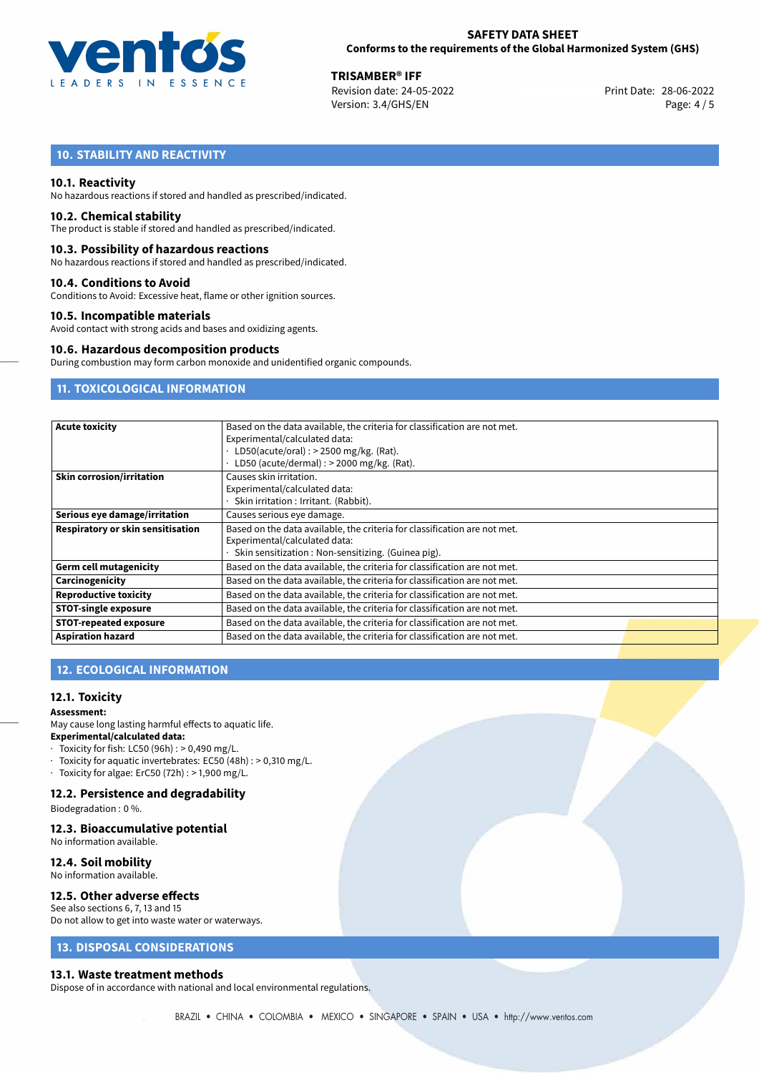

28-06-2022 **TRISAMBER® IFF** Revision date: 24-05-2022 Version: 3.4/GHS/EN Page: 4 / 5

# **10. STABILITY AND REACTIVITY**

## **10.1. Reactivity**

No hazardous reactions if stored and handled as prescribed/indicated.

### **10.2. Chemical stability**

The product is stable if stored and handled as prescribed/indicated.

#### **10.3. Possibility of hazardous reactions**

No hazardous reactions if stored and handled as prescribed/indicated.

### **10.4. Conditions to Avoid**

Conditions to Avoid: Excessive heat, flame or other ignition sources.

### **10.5. Incompatible materials**

Avoid contact with strong acids and bases and oxidizing agents.

#### **10.6. Hazardous decomposition products**

During combustion may form carbon monoxide and unidentified organic compounds.

# **11. TOXICOLOGICAL INFORMATION**

| <b>Acute toxicity</b>             | Based on the data available, the criteria for classification are not met. |  |  |  |
|-----------------------------------|---------------------------------------------------------------------------|--|--|--|
|                                   | Experimental/calculated data:                                             |  |  |  |
|                                   | LD50(acute/oral) : $>$ 2500 mg/kg. (Rat).                                 |  |  |  |
|                                   | LD50 (acute/dermal) : > 2000 mg/kg. (Rat).                                |  |  |  |
| <b>Skin corrosion/irritation</b>  | Causes skin irritation.                                                   |  |  |  |
|                                   | Experimental/calculated data:                                             |  |  |  |
|                                   | Skin irritation : Irritant. (Rabbit).                                     |  |  |  |
| Serious eye damage/irritation     | Causes serious eye damage.                                                |  |  |  |
| Respiratory or skin sensitisation | Based on the data available, the criteria for classification are not met. |  |  |  |
|                                   | Experimental/calculated data:                                             |  |  |  |
|                                   | Skin sensitization : Non-sensitizing. (Guinea pig).                       |  |  |  |
| <b>Germ cell mutagenicity</b>     | Based on the data available, the criteria for classification are not met. |  |  |  |
| Carcinogenicity                   | Based on the data available, the criteria for classification are not met. |  |  |  |
| <b>Reproductive toxicity</b>      | Based on the data available, the criteria for classification are not met. |  |  |  |
| <b>STOT-single exposure</b>       | Based on the data available, the criteria for classification are not met. |  |  |  |
| <b>STOT-repeated exposure</b>     | Based on the data available, the criteria for classification are not met. |  |  |  |
| <b>Aspiration hazard</b>          | Based on the data available, the criteria for classification are not met. |  |  |  |

# **12. ECOLOGICAL INFORMATION**

## **12.1. Toxicity**

# **Assessment:**

May cause long lasting harmful effects to aquatic life. **Experimental/calculated data:**

- $\cdot$  Toxicity for fish: LC50 (96h) : > 0,490 mg/L.
- · Toxicity for aquatic invertebrates: EC50 (48h) : > 0,310 mg/L.
- $\cdot$  Toxicity for algae: ErC50 (72h) : > 1,900 mg/L.

# **12.2. Persistence and degradability**

Biodegradation : 0 %.

### **12.3. Bioaccumulative potential**

No information available.

### **12.4. Soil mobility**

No information available.

#### **12.5. Other adverse effects**

See also sections 6, 7, 13 and 15 Do not allow to get into waste water or waterways.

# **13. DISPOSAL CONSIDERATIONS**

#### **13.1. Waste treatment methods**

Dispose of in accordance with national and local environmental regulations.